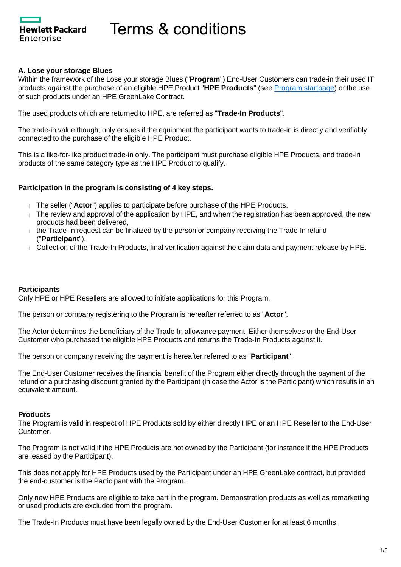Hewlett Packard Enterprise

#### **A. Lose your storage Blues**

Within the framework of the Lose your storage Blues ("**Program**") End-User Customers can trade-in their used IT products against the purchase of an eligible HPE Product "**HPE Products**" (see [Program startpage](https://promotions.ext.hpe.com/WMCF.Web/lv/en/promotion/20383/?ocugid=)) or the use of such products under an HPE GreenLake Contract.

The used products which are returned to HPE, are referred as "**Trade-In Products**".

The trade-in value though, only ensues if the equipment the participant wants to trade-in is directly and verifiably connected to the purchase of the eligible HPE Product.

This is a like-for-like product trade-in only. The participant must purchase eligible HPE Products, and trade-in products of the same category type as the HPE Product to qualify.

## **Participation in the program is consisting of 4 key steps.**

- The seller ("**Actor**") applies to participate before purchase of the HPE Products.
- $\overline{1}$ . The review and approval of the application by HPE, and when the registration has been approved, the new products had been delivered,
- $\pm$  the Trade-In request can be finalized by the person or company receiving the Trade-In refund ("**Participant**").
- Collection of the Trade-In Products, final verification against the claim data and payment release by HPE.

#### **Participants**

Only HPE or HPE Resellers are allowed to initiate applications for this Program.

The person or company registering to the Program is hereafter referred to as "**Actor**".

The Actor determines the beneficiary of the Trade-In allowance payment. Either themselves or the End-User Customer who purchased the eligible HPE Products and returns the Trade-In Products against it.

The person or company receiving the payment is hereafter referred to as "**Participant**".

The End-User Customer receives the financial benefit of the Program either directly through the payment of the refund or a purchasing discount granted by the Participant (in case the Actor is the Participant) which results in an equivalent amount.

#### **Products**

The Program is valid in respect of HPE Products sold by either directly HPE or an HPE Reseller to the End-User Customer.

The Program is not valid if the HPE Products are not owned by the Participant (for instance if the HPE Products are leased by the Participant).

This does not apply for HPE Products used by the Participant under an HPE GreenLake contract, but provided the end-customer is the Participant with the Program.

Only new HPE Products are eligible to take part in the program. Demonstration products as well as remarketing or used products are excluded from the program.

The Trade-In Products must have been legally owned by the End-User Customer for at least 6 months.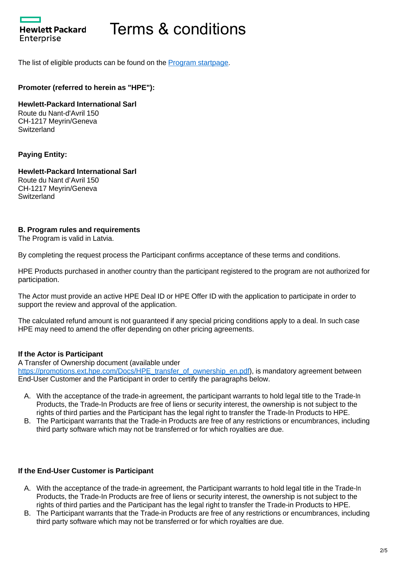

The list of eligible products can be found on the **Program startpage**.

# **Promoter (referred to herein as "HPE"):**

**Hewlett-Packard International Sarl** Route du Nant-d'Avril 150 CH-1217 Meyrin/Geneva **Switzerland** 

## **Paying Entity:**

**Hewlett-Packard International Sarl** Route du Nant d'Avril 150 CH-1217 Meyrin/Geneva Switzerland

## **B. Program rules and requirements**

The Program is valid in Latvia.

By completing the request process the Participant confirms acceptance of these terms and conditions.

HPE Products purchased in another country than the participant registered to the program are not authorized for participation.

The Actor must provide an active HPE Deal ID or HPE Offer ID with the application to participate in order to support the review and approval of the application.

The calculated refund amount is not guaranteed if any special pricing conditions apply to a deal. In such case HPE may need to amend the offer depending on other pricing agreements.

## **If the Actor is Participant**

A Transfer of Ownership document (available under

[https://promotions.ext.hpe.com/Docs/HPE\\_transfer\\_of\\_ownership\\_en.pdf](https://promotions.ext.hpe.com/Docs/HPE_transfer_of_ownership_en.pdf)), is mandatory agreement between End-User Customer and the Participant in order to certify the paragraphs below.

- A. With the acceptance of the trade-in agreement, the participant warrants to hold legal title to the Trade-In Products, the Trade-In Products are free of liens or security interest, the ownership is not subject to the rights of third parties and the Participant has the legal right to transfer the Trade-In Products to HPE.
- B. The Participant warrants that the Trade-in Products are free of any restrictions or encumbrances, including third party software which may not be transferred or for which royalties are due.

## **If the End-User Customer is Participant**

- A. With the acceptance of the trade-in agreement, the Participant warrants to hold legal title in the Trade-In Products, the Trade-In Products are free of liens or security interest, the ownership is not subject to the rights of third parties and the Participant has the legal right to transfer the Trade-in Products to HPE.
- B. The Participant warrants that the Trade-in Products are free of any restrictions or encumbrances, including third party software which may not be transferred or for which royalties are due.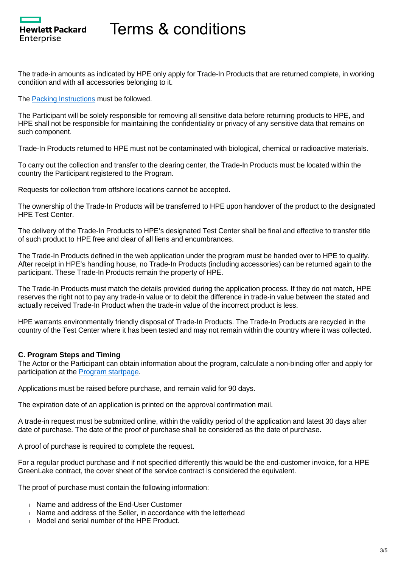

The trade-in amounts as indicated by HPE only apply for Trade-In Products that are returned complete, in working condition and with all accessories belonging to it.

The [Packing Instructions](https://promotions.ext.hpe.com/Docs/HPE_Trade-In_Packing_Instructions_en.pdf) must be followed.

The Participant will be solely responsible for removing all sensitive data before returning products to HPE, and HPE shall not be responsible for maintaining the confidentiality or privacy of any sensitive data that remains on such component.

Trade-In Products returned to HPE must not be contaminated with biological, chemical or radioactive materials.

To carry out the collection and transfer to the clearing center, the Trade-In Products must be located within the country the Participant registered to the Program.

Requests for collection from offshore locations cannot be accepted.

The ownership of the Trade-In Products will be transferred to HPE upon handover of the product to the designated HPE Test Center.

The delivery of the Trade-In Products to HPE's designated Test Center shall be final and effective to transfer title of such product to HPE free and clear of all liens and encumbrances.

The Trade-In Products defined in the web application under the program must be handed over to HPE to qualify. After receipt in HPE's handling house, no Trade-In Products (including accessories) can be returned again to the participant. These Trade-In Products remain the property of HPE.

The Trade-In Products must match the details provided during the application process. If they do not match, HPE reserves the right not to pay any trade-in value or to debit the difference in trade-in value between the stated and actually received Trade-In Product when the trade-in value of the incorrect product is less.

HPE warrants environmentally friendly disposal of Trade-In Products. The Trade-In Products are recycled in the country of the Test Center where it has been tested and may not remain within the country where it was collected.

#### **C. Program Steps and Timing**

The Actor or the Participant can obtain information about the program, calculate a non-binding offer and apply for participation at the [Program startpage.](https://promotions.ext.hpe.com/WMCF.Web/lv/en/promotion/20383/?ocugid=)

Applications must be raised before purchase, and remain valid for 90 days.

The expiration date of an application is printed on the approval confirmation mail.

A trade-in request must be submitted online, within the validity period of the application and latest 30 days after date of purchase. The date of the proof of purchase shall be considered as the date of purchase.

A proof of purchase is required to complete the request.

For a regular product purchase and if not specified differently this would be the end-customer invoice, for a HPE GreenLake contract, the cover sheet of the service contract is considered the equivalent.

The proof of purchase must contain the following information:

- Name and address of the End-User Customer
- Name and address of the Seller, in accordance with the letterhead
- Model and serial number of the HPE Product.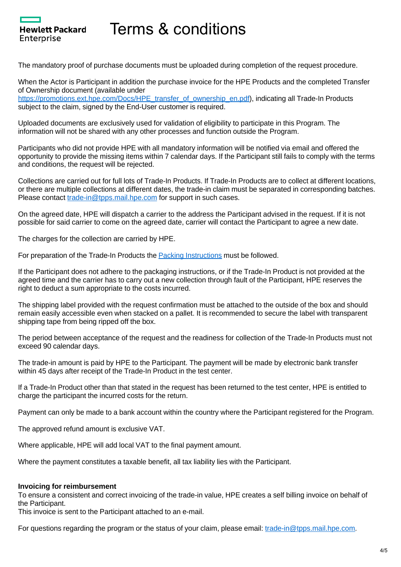

The mandatory proof of purchase documents must be uploaded during completion of the request procedure.

When the Actor is Participant in addition the purchase invoice for the HPE Products and the completed Transfer of Ownership document (available under

[https://promotions.ext.hpe.com/Docs/HPE\\_transfer\\_of\\_ownership\\_en.pdf](https://promotions.ext.hpe.com/Docs/HPE_transfer_of_ownership_en.pdf)), indicating all Trade-In Products subject to the claim, signed by the End-User customer is required.

Uploaded documents are exclusively used for validation of eligibility to participate in this Program. The information will not be shared with any other processes and function outside the Program.

Participants who did not provide HPE with all mandatory information will be notified via email and offered the opportunity to provide the missing items within 7 calendar days. If the Participant still fails to comply with the terms and conditions, the request will be rejected.

Collections are carried out for full lots of Trade-In Products. If Trade-In Products are to collect at different locations, or there are multiple collections at different dates, the trade-in claim must be separated in corresponding batches. Please contact [trade-in@tpps.mail.hpe.com](mailto:trade-in@tpps.mail.hpe.com) for support in such cases.

On the agreed date, HPE will dispatch a carrier to the address the Participant advised in the request. If it is not possible for said carrier to come on the agreed date, carrier will contact the Participant to agree a new date.

The charges for the collection are carried by HPE.

For preparation of the Trade-In Products the [Packing Instructions](https://promotions.ext.hpe.com/Docs/HPE_Trade-In_Packing_Instructions_en.pdf) must be followed.

If the Participant does not adhere to the packaging instructions, or if the Trade-In Product is not provided at the agreed time and the carrier has to carry out a new collection through fault of the Participant, HPE reserves the right to deduct a sum appropriate to the costs incurred.

The shipping label provided with the request confirmation must be attached to the outside of the box and should remain easily accessible even when stacked on a pallet. It is recommended to secure the label with transparent shipping tape from being ripped off the box.

The period between acceptance of the request and the readiness for collection of the Trade-In Products must not exceed 90 calendar days.

The trade-in amount is paid by HPE to the Participant. The payment will be made by electronic bank transfer within 45 days after receipt of the Trade-In Product in the test center.

If a Trade-In Product other than that stated in the request has been returned to the test center, HPE is entitled to charge the participant the incurred costs for the return.

Payment can only be made to a bank account within the country where the Participant registered for the Program.

The approved refund amount is exclusive VAT.

Where applicable, HPE will add local VAT to the final payment amount.

Where the payment constitutes a taxable benefit, all tax liability lies with the Participant.

#### **Invoicing for reimbursement**

To ensure a consistent and correct invoicing of the trade-in value, HPE creates a self billing invoice on behalf of the Participant.

This invoice is sent to the Participant attached to an e-mail.

For questions regarding the program or the status of your claim, please email: [trade-in@tpps.mail.hpe.com.](mailto:trade-in@tpps.mail.hpe.com)